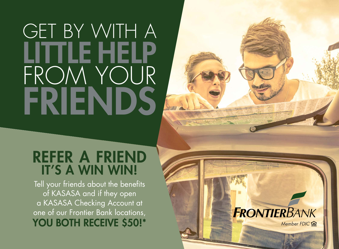## GET BY WITH A LITTLE HELP FROM YOUR FRIENDS A

### REFER A FRIEND IT'S A WIN WIN!

Tell your friends about the benefits of KASASA and if they open a KASASA Checking Account at one of our Frontier Bank locations,